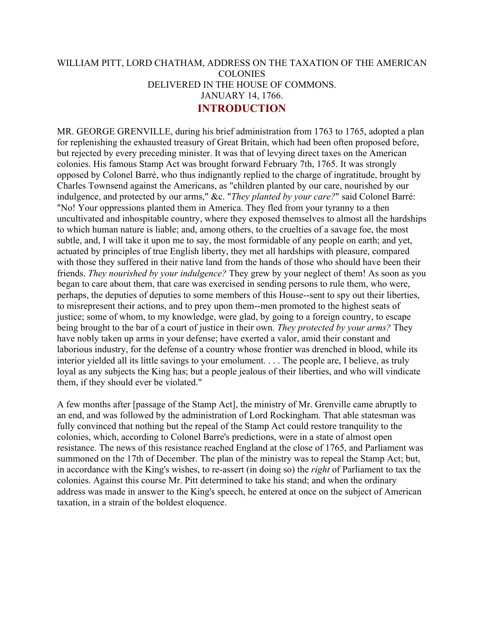## WILLIAM PITT, LORD CHATHAM, ADDRESS ON THE TAXATION OF THE AMERICAN COLONIES DELIVERED IN THE HOUSE OF COMMONS. JANUARY 14, 1766. **INTRODUCTION**

MR. GEORGE GRENVILLE, during his brief administration from 1763 to 1765, adopted a plan for replenishing the exhausted treasury of Great Britain, which had been often proposed before, but rejected by every preceding minister. It was that of levying direct taxes on the American colonies. His famous Stamp Act was brought forward February 7th, 1765. It was strongly opposed by Colonel Barré, who thus indignantly replied to the charge of ingratitude, brought by Charles Townsend against the Americans, as "children planted by our care, nourished by our indulgence, and protected by our arms," &c. "*They planted by your care?*" said Colonel Barré: "No! Your oppressions planted them in America. They fled from your tyranny to a then uncultivated and inhospitable country, where they exposed themselves to almost all the hardships to which human nature is liable; and, among others, to the cruelties of a savage foe, the most subtle, and, I will take it upon me to say, the most formidable of any people on earth; and yet, actuated by principles of true English liberty, they met all hardships with pleasure, compared with those they suffered in their native land from the hands of those who should have been their friends. *They nourished by your indulgence?* They grew by your neglect of them! As soon as you began to care about them, that care was exercised in sending persons to rule them, who were, perhaps, the deputies of deputies to some members of this House--sent to spy out their liberties, to misrepresent their actions, and to prey upon them--men promoted to the highest seats of justice; some of whom, to my knowledge, were glad, by going to a foreign country, to escape being brought to the bar of a court of justice in their own. *They protected by your arms?* They have nobly taken up arms in your defense; have exerted a valor, amid their constant and laborious industry, for the defense of a country whose frontier was drenched in blood, while its interior yielded all its little savings to your emolument. . . . The people are, I believe, as truly loyal as any subjects the King has; but a people jealous of their liberties, and who will vindicate them, if they should ever be violated."

A few months after [passage of the Stamp Act], the ministry of Mr. Grenville came abruptly to an end, and was followed by the administration of Lord Rockingham. That able statesman was fully convinced that nothing but the repeal of the Stamp Act could restore tranquility to the colonies, which, according to Colonel Barre's predictions, were in a state of almost open resistance. The news of this resistance reached England at the close of 1765, and Parliament was summoned on the 17th of December. The plan of the ministry was to repeal the Stamp Act; but, in accordance with the King's wishes, to re-assert (in doing so) the *right* of Parliament to tax the colonies. Against this course Mr. Pitt determined to take his stand; and when the ordinary address was made in answer to the King's speech, he entered at once on the subject of American taxation, in a strain of the boldest eloquence.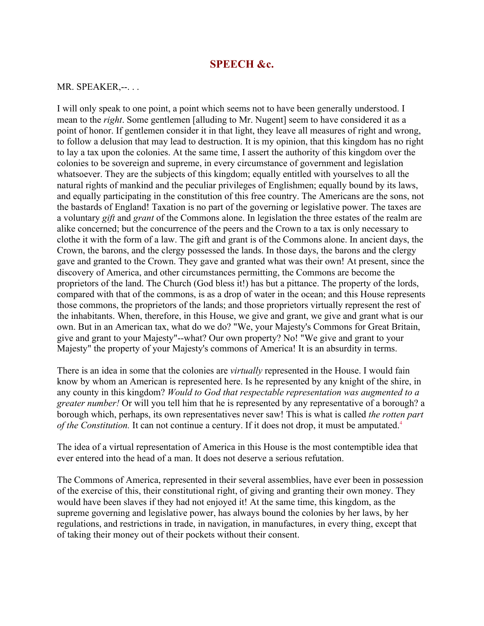## **SPEECH &c.**

## MR. SPEAKER,--. . .

I will only speak to one point, a point which seems not to have been generally understood. I mean to the *right*. Some gentlemen [alluding to Mr. Nugent] seem to have considered it as a point of honor. If gentlemen consider it in that light, they leave all measures of right and wrong, to follow a delusion that may lead to destruction. It is my opinion, that this kingdom has no right to lay a tax upon the colonies. At the same time, I assert the authority of this kingdom over the colonies to be sovereign and supreme, in every circumstance of government and legislation whatsoever. They are the subjects of this kingdom; equally entitled with yourselves to all the natural rights of mankind and the peculiar privileges of Englishmen; equally bound by its laws, and equally participating in the constitution of this free country. The Americans are the sons, not the bastards of England! Taxation is no part of the governing or legislative power. The taxes are a voluntary *gift* and *grant* of the Commons alone. In legislation the three estates of the realm are alike concerned; but the concurrence of the peers and the Crown to a tax is only necessary to clothe it with the form of a law. The gift and grant is of the Commons alone. In ancient days, the Crown, the barons, and the clergy possessed the lands. In those days, the barons and the clergy gave and granted to the Crown. They gave and granted what was their own! At present, since the discovery of America, and other circumstances permitting, the Commons are become the proprietors of the land. The Church (God bless it!) has but a pittance. The property of the lords, compared with that of the commons, is as a drop of water in the ocean; and this House represents those commons, the proprietors of the lands; and those proprietors virtually represent the rest of the inhabitants. When, therefore, in this House, we give and grant, we give and grant what is our own. But in an American tax, what do we do? "We, your Majesty's Commons for Great Britain, give and grant to your Majesty"--what? Our own property? No! "We give and grant to your Majesty" the property of your Majesty's commons of America! It is an absurdity in terms.

There is an idea in some that the colonies are *virtually* represented in the House. I would fain know by whom an American is represented here. Is he represented by any knight of the shire, in any county in this kingdom? *Would to God that respectable representation was augmented to a greater number!* Or will you tell him that he is represented by any representative of a borough? a borough which, perhaps, its own representatives never saw! This is what is called *the rotten part of the Constitution.* It can not continue a century. If it does not drop, it must be amputated.<sup>4</sup>

The idea of a virtual representation of America in this House is the most contemptible idea that ever entered into the head of a man. It does not deserve a serious refutation.

The Commons of America, represented in their several assemblies, have ever been in possession of the exercise of this, their constitutional right, of giving and granting their own money. They would have been slaves if they had not enjoyed it! At the same time, this kingdom, as the supreme governing and legislative power, has always bound the colonies by her laws, by her regulations, and restrictions in trade, in navigation, in manufactures, in every thing, except that of taking their money out of their pockets without their consent.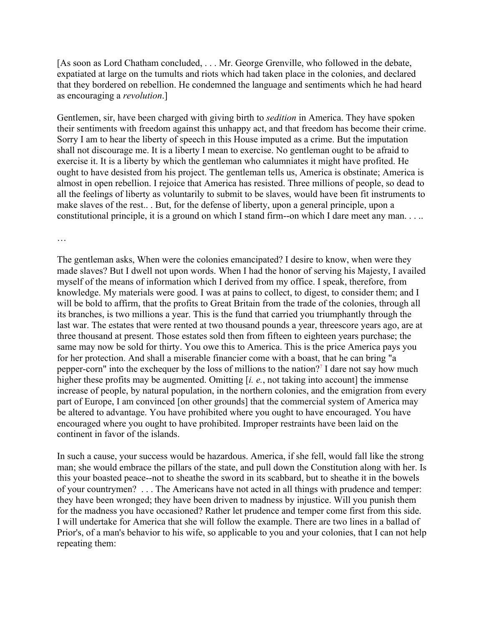[As soon as Lord Chatham concluded, . . . Mr. George Grenville, who followed in the debate, expatiated at large on the tumults and riots which had taken place in the colonies, and declared that they bordered on rebellion. He condemned the language and sentiments which he had heard as encouraging a *revolution*.]

Gentlemen, sir, have been charged with giving birth to *sedition* in America. They have spoken their sentiments with freedom against this unhappy act, and that freedom has become their crime. Sorry I am to hear the liberty of speech in this House imputed as a crime. But the imputation shall not discourage me. It is a liberty I mean to exercise. No gentleman ought to be afraid to exercise it. It is a liberty by which the gentleman who calumniates it might have profited. He ought to have desisted from his project. The gentleman tells us, America is obstinate; America is almost in open rebellion. I rejoice that America has resisted. Three millions of people, so dead to all the feelings of liberty as voluntarily to submit to be slaves, would have been fit instruments to make slaves of the rest.. . But, for the defense of liberty, upon a general principle, upon a constitutional principle, it is a ground on which I stand firm--on which I dare meet any man. . . ..

…

The gentleman asks, When were the colonies emancipated? I desire to know, when were they made slaves? But I dwell not upon words. When I had the honor of serving his Majesty, I availed myself of the means of information which I derived from my office. I speak, therefore, from knowledge. My materials were good. I was at pains to collect, to digest, to consider them; and I will be bold to affirm, that the profits to Great Britain from the trade of the colonies, through all its branches, is two millions a year. This is the fund that carried you triumphantly through the last war. The estates that were rented at two thousand pounds a year, threescore years ago, are at three thousand at present. Those estates sold then from fifteen to eighteen years purchase; the same may now be sold for thirty. You owe this to America. This is the price America pays you for her protection. And shall a miserable financier come with a boast, that he can bring "a pepper-corn" into the exchequer by the loss of millions to the nation?7 I dare not say how much higher these profits may be augmented. Omitting [*i. e.*, not taking into account] the immense increase of people, by natural population, in the northern colonies, and the emigration from every part of Europe, I am convinced [on other grounds] that the commercial system of America may be altered to advantage. You have prohibited where you ought to have encouraged. You have encouraged where you ought to have prohibited. Improper restraints have been laid on the continent in favor of the islands.

In such a cause, your success would be hazardous. America, if she fell, would fall like the strong man; she would embrace the pillars of the state, and pull down the Constitution along with her. Is this your boasted peace--not to sheathe the sword in its scabbard, but to sheathe it in the bowels of your countrymen? . . . The Americans have not acted in all things with prudence and temper: they have been wronged; they have been driven to madness by injustice. Will you punish them for the madness you have occasioned? Rather let prudence and temper come first from this side. I will undertake for America that she will follow the example. There are two lines in a ballad of Prior's, of a man's behavior to his wife, so applicable to you and your colonies, that I can not help repeating them: